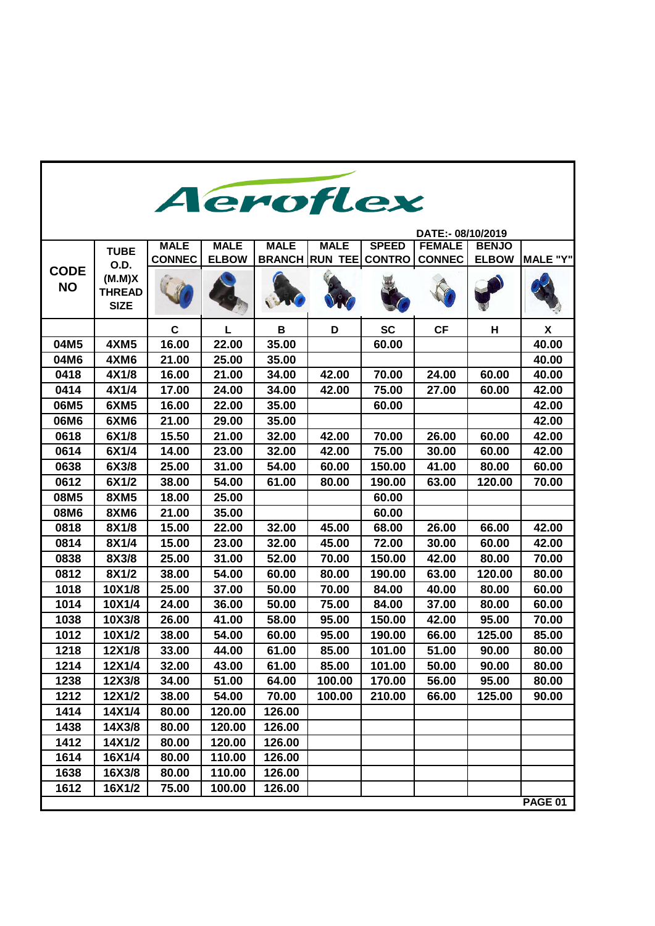|                          | Aeroflex                               |               |              |             |                       |               |                   |              |                 |
|--------------------------|----------------------------------------|---------------|--------------|-------------|-----------------------|---------------|-------------------|--------------|-----------------|
|                          |                                        |               |              |             |                       |               |                   |              |                 |
|                          |                                        |               |              |             |                       |               | DATE:- 08/10/2019 |              |                 |
|                          | <b>TUBE</b>                            | <b>MALE</b>   | <b>MALE</b>  | <b>MALE</b> | <b>MALE</b>           | <b>SPEED</b>  | <b>FEMALE</b>     | <b>BENJO</b> |                 |
|                          | O.D.                                   | <b>CONNEC</b> | <b>ELBOW</b> |             | <b>BRANCH RUN TEE</b> | <b>CONTRO</b> | <b>CONNEC</b>     | <b>ELBOW</b> | <b>MALE "Y"</b> |
| <b>CODE</b><br><b>NO</b> | (M.M)X<br><b>THREAD</b><br><b>SIZE</b> |               |              |             |                       |               |                   |              |                 |
|                          |                                        | $\mathbf c$   | L            | B           | D                     | <b>SC</b>     | CF                | н            | X               |
| 04M5                     | <b>4XM5</b>                            | 16.00         | 22.00        | 35.00       |                       | 60.00         |                   |              | 40.00           |
| 04M6                     | 4XM6                                   | 21.00         | 25.00        | 35.00       |                       |               |                   |              | 40.00           |
| 0418                     | 4X1/8                                  | 16.00         | 21.00        | 34.00       | 42.00                 | 70.00         | 24.00             | 60.00        | 40.00           |
| 0414                     | 4X1/4                                  | 17.00         | 24.00        | 34.00       | 42.00                 | 75.00         | 27.00             | 60.00        | 42.00           |
| 06M5                     | 6XM5                                   | 16.00         | 22.00        | 35.00       |                       | 60.00         |                   |              | 42.00           |
| 06M6                     | 6XM6                                   | 21.00         | 29.00        | 35.00       |                       |               |                   |              | 42.00           |
| 0618                     | 6X1/8                                  | 15.50         | 21.00        | 32.00       | 42.00                 | 70.00         | 26.00             | 60.00        | 42.00           |
| 0614                     | 6X1/4                                  | 14.00         | 23.00        | 32.00       | 42.00                 | 75.00         | 30.00             | 60.00        | 42.00           |
| 0638                     | 6X3/8                                  | 25.00         | 31.00        | 54.00       | 60.00                 | 150.00        | 41.00             | 80.00        | 60.00           |
| 0612                     | 6X1/2                                  | 38.00         | 54.00        | 61.00       | 80.00                 | 190.00        | 63.00             | 120.00       | 70.00           |
| 08M5                     | <b>8XM5</b>                            | 18.00         | 25.00        |             |                       | 60.00         |                   |              |                 |
| 08M6                     | 8XM6                                   | 21.00         | 35.00        |             |                       | 60.00         |                   |              |                 |
| 0818                     | 8X1/8                                  | 15.00         | 22.00        | 32.00       | 45.00                 | 68.00         | 26.00             | 66.00        | 42.00           |
| 0814                     | 8X1/4                                  | 15.00         | 23.00        | 32.00       | 45.00                 | 72.00         | 30.00             | 60.00        | 42.00           |
| 0838                     | 8X3/8                                  | 25.00         | 31.00        | 52.00       | 70.00                 | 150.00        | 42.00             | 80.00        | 70.00           |
| 0812                     | 8X1/2                                  | 38.00         | 54.00        | 60.00       | 80.00                 | 190.00        | 63.00             | 120.00       | 80.00           |
| 1018                     | 10X1/8                                 | 25.00         | 37.00        | 50.00       | 70.00                 | 84.00         | 40.00             | 80.00        | 60.00           |
| 1014                     | 10X1/4                                 | 24.00         | 36.00        | 50.00       | 75.00                 | 84.00         | 37.00             | 80.00        | 60.00           |
| 1038                     | 10X3/8                                 | 26.00         | 41.00        | 58.00       | 95.00                 | 150.00        | 42.00             | 95.00        | 70.00           |
| 1012                     | 10X1/2                                 | 38.00         | 54.00        | 60.00       | 95.00                 | 190.00        | 66.00             | 125.00       | 85.00           |
| 1218                     | 12X1/8                                 | 33.00         | 44.00        | 61.00       | 85.00                 | 101.00        | 51.00             | 90.00        | 80.00           |
| 1214                     | 12X1/4                                 | 32.00         | 43.00        | 61.00       | 85.00                 | 101.00        | 50.00             | 90.00        | 80.00           |
| 1238                     | 12X3/8                                 | 34.00         | 51.00        | 64.00       | 100.00                | 170.00        | 56.00             | 95.00        | 80.00           |
| 1212                     | 12X1/2                                 | 38.00         | 54.00        | 70.00       | 100.00                | 210.00        | 66.00             | 125.00       | 90.00           |
| 1414                     | 14X1/4                                 | 80.00         | 120.00       | 126.00      |                       |               |                   |              |                 |
| 1438                     | 14X3/8                                 | 80.00         | 120.00       | 126.00      |                       |               |                   |              |                 |
| 1412                     | 14X1/2                                 | 80.00         | 120.00       | 126.00      |                       |               |                   |              |                 |
| 1614                     | 16X1/4                                 | 80.00         | 110.00       | 126.00      |                       |               |                   |              |                 |
| 1638                     | 16X3/8                                 | 80.00         | 110.00       | 126.00      |                       |               |                   |              |                 |
| 1612                     | 16X1/2                                 | 75.00         | 100.00       | 126.00      |                       |               |                   |              |                 |
|                          |                                        |               |              |             |                       |               |                   |              | PAGE 01         |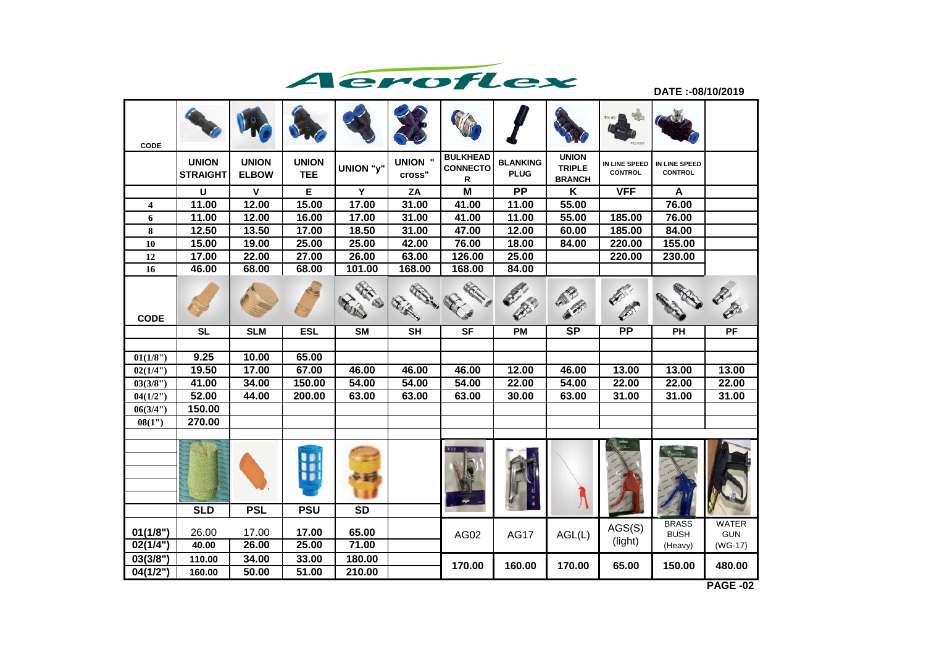

**DATE :-08/10/2019**

| CODE                    |                                 |                              |                            |                  |                          |                                         |                                |                                                |                                 |                                        |                                         |
|-------------------------|---------------------------------|------------------------------|----------------------------|------------------|--------------------------|-----------------------------------------|--------------------------------|------------------------------------------------|---------------------------------|----------------------------------------|-----------------------------------------|
|                         | <b>UNION</b><br><b>STRAIGHT</b> | <b>UNION</b><br><b>ELBOW</b> | <b>UNION</b><br><b>TEE</b> | UNION "y"        | <b>UNION "</b><br>cross" | <b>BULKHEAD</b><br><b>CONNECTO</b><br>R | <b>BLANKING</b><br><b>PLUG</b> | <b>UNION</b><br><b>TRIPLE</b><br><b>BRANCH</b> | IN LINE SPEED<br><b>CONTROL</b> | IN LINE SPEED<br><b>CONTROL</b>        |                                         |
|                         | U                               | $\mathbf{V}$                 | E                          | Y                | ZA                       | $\overline{\mathsf{M}}$                 | $\overline{PP}$                | $\overline{\mathsf{K}}$                        | <b>VFF</b>                      | $\boldsymbol{\mathsf{A}}$              |                                         |
| $\overline{\mathbf{4}}$ | 11.00                           | 12.00                        | 15.00                      | 17.00            | 31.00                    | 41.00                                   | 11.00                          | 55.00                                          |                                 | 76.00                                  |                                         |
| 6                       | 11.00                           | 12.00                        | 16.00                      | 17.00            | 31.00                    | 41.00                                   | 11.00                          | 55.00                                          | 185.00                          | 76.00                                  |                                         |
| 8                       | 12.50                           | 13.50                        | 17.00                      | 18.50            | 31.00                    | 47.00                                   | 12.00                          | 60.00                                          | 185.00                          | 84.00                                  |                                         |
| 10                      | 15.00                           | 19.00                        | 25.00                      | 25.00            | 42.00                    | 76.00                                   | 18.00                          | 84.00                                          | 220.00                          | 155.00                                 |                                         |
| 12                      | 17.00                           | 22.00                        | 27.00                      | 26.00            | 63.00                    | 126.00                                  | 25.00                          |                                                | 220.00                          | 230.00                                 |                                         |
| 16                      | 46.00                           | 68.00                        | 68.00                      | 101.00           | 168.00                   | 168.00                                  | 84.00                          |                                                |                                 |                                        |                                         |
| <b>CODE</b>             |                                 |                              |                            | <b>REC. SI</b>   | <b>RESIRIES</b><br>Film  | <b>COLLANS</b><br><b>RECORD</b>         | Ø                              |                                                | <b>CONTRACTOR</b>               |                                        | <b>CENT</b>                             |
|                         | <b>SL</b>                       | <b>SLM</b>                   | <b>ESL</b>                 | <b>SM</b>        | <b>SH</b>                | <b>SF</b>                               | PM                             | <b>SP</b>                                      | PP                              | PH                                     | PF                                      |
|                         |                                 |                              |                            |                  |                          |                                         |                                |                                                |                                 |                                        |                                         |
| 01(1/8")                | 9.25                            | 10.00                        | 65.00                      |                  |                          |                                         |                                |                                                |                                 |                                        |                                         |
| 02(1/4")                | 19.50                           | 17.00                        | 67.00                      | 46.00            | 46.00                    | 46.00                                   | 12.00                          | 46.00                                          | 13.00                           | 13.00                                  | 13.00                                   |
| 03(3/8")                | 41.00                           | 34.00                        | 150.00                     | 54.00            | 54.00                    | 54.00                                   | 22.00                          | 54.00                                          | 22.00                           | 22.00                                  | 22.00                                   |
| 04(1/2")                | 52.00                           | 44.00                        | 200.00                     | 63.00            | 63.00                    | 63.00                                   | 30.00                          | 63.00                                          | 31.00                           | 31.00                                  | 31.00                                   |
| 06(3/4")                | 150.00                          |                              |                            |                  |                          |                                         |                                |                                                |                                 |                                        |                                         |
| 08(1")                  | 270.00                          |                              |                            |                  |                          |                                         |                                |                                                |                                 |                                        |                                         |
|                         |                                 |                              | 9<br>9                     |                  |                          |                                         |                                |                                                |                                 |                                        |                                         |
|                         | <b>SLD</b>                      | <b>PSL</b>                   | <b>PSU</b>                 | $\overline{SD}$  |                          |                                         |                                |                                                |                                 |                                        |                                         |
| 01(1/8")<br>02(1/4")    | 26.00<br>40.00                  | 17.00<br>26.00               | 17.00<br>25.00             | 65.00<br>71.00   |                          | AG02                                    | <b>AG17</b>                    | AGL(L)                                         | AGS(S)<br>(light)               | <b>BRASS</b><br><b>BUSH</b><br>(Heavy) | <b>WATER</b><br><b>GUN</b><br>$(WG-17)$ |
| 03(3/8")<br>04(1/2")    | 110.00<br>160.00                | 34.00<br>50.00               | 33.00<br>51.00             | 180.00<br>210.00 |                          | 170.00                                  | 160.00                         | 170.00                                         | 65.00                           | 150.00                                 | 480.00                                  |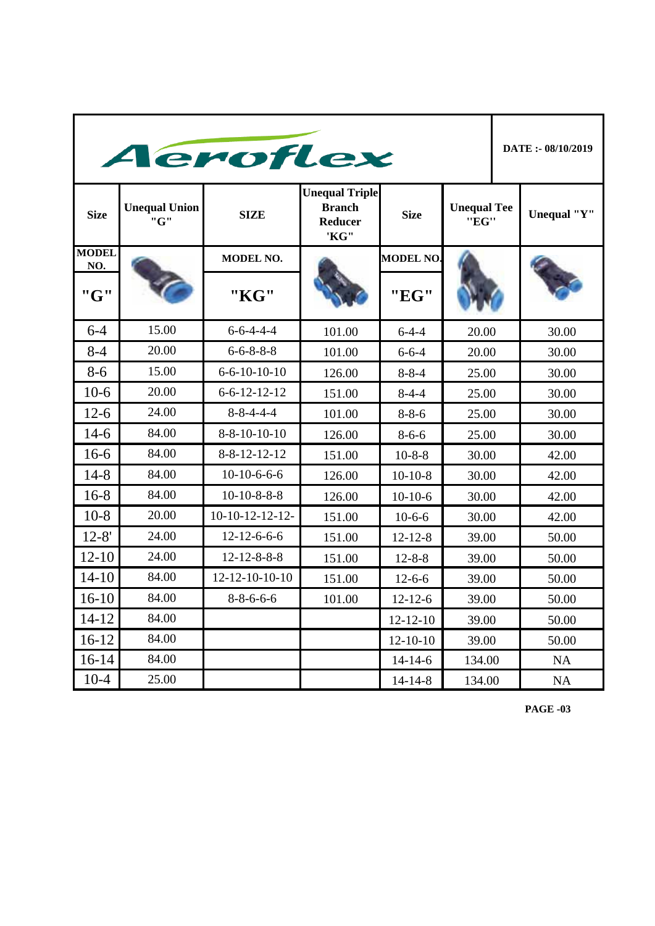|                     | Aeroflex                    |                        |                                                                  |                  |                            |                |                    |  |  |
|---------------------|-----------------------------|------------------------|------------------------------------------------------------------|------------------|----------------------------|----------------|--------------------|--|--|
| <b>Size</b>         | <b>Unequal Union</b><br>"G" | <b>SIZE</b>            | <b>Unequal Triple</b><br><b>Branch</b><br><b>Reducer</b><br>'KG" | <b>Size</b>      | <b>Unequal Tee</b><br>"EG" |                | <b>Unequal "Y"</b> |  |  |
| <b>MODEL</b><br>NO. |                             | <b>MODEL NO.</b>       |                                                                  | <b>MODEL NO.</b> |                            |                |                    |  |  |
| "G"                 |                             | "KG"                   |                                                                  | "EG"             |                            |                |                    |  |  |
| $6 - 4$             | 15.00                       | $6 - 6 - 4 - 4 - 4$    | 101.00                                                           | $6-4-4$          | 20.00                      |                | 30.00              |  |  |
| $8 - 4$             | 20.00                       | $6 - 6 - 8 - 8 - 8$    | 101.00                                                           | $6 - 6 - 4$      | 20.00                      |                | 30.00              |  |  |
| $8 - 6$             | 15.00                       | $6 - 6 - 10 - 10 - 10$ | 126.00                                                           | $8 - 8 - 4$      |                            | 25.00<br>30.00 |                    |  |  |
| $10-6$              | 20.00                       | $6 - 6 - 12 - 12 - 12$ | 151.00                                                           | $8-4-4$          | 25.00                      |                | 30.00              |  |  |
| $12-6$              | 24.00                       | $8 - 8 - 4 - 4 - 4$    | 101.00                                                           | $8 - 8 - 6$      | 25.00                      |                | 30.00              |  |  |
| $14-6$              | 84.00                       | $8 - 8 - 10 - 10 - 10$ | 126.00                                                           | $8 - 6 - 6$      | 25.00                      |                | 30.00              |  |  |
| $16-6$              | 84.00                       | $8 - 8 - 12 - 12 - 12$ | 151.00                                                           | $10-8-8$         | 30.00                      |                | 42.00              |  |  |
| $14 - 8$            | 84.00                       | $10-10-6-6-6$          | 126.00                                                           | $10 - 10 - 8$    | 30.00                      |                | 42.00              |  |  |
| $16 - 8$            | 84.00                       | $10-10-8-8-8$          | 126.00                                                           | $10-10-6$        | 30.00                      |                | 42.00              |  |  |
| $10-8$              | 20.00                       | $10-10-12-12-12-$      | 151.00                                                           | $10-6-6$         | 30.00                      |                | 42.00              |  |  |
| $12 - 8'$           | 24.00                       | $12 - 12 - 6 - 6 - 6$  | 151.00                                                           | $12 - 12 - 8$    | 39.00                      |                | 50.00              |  |  |
| $12 - 10$           | 24.00                       | $12 - 12 - 8 - 8 - 8$  | 151.00                                                           | $12 - 8 - 8$     | 39.00                      |                | 50.00              |  |  |
| $14 - 10$           | 84.00                       | 12-12-10-10-10         | 151.00                                                           | $12 - 6 - 6$     | 39.00                      |                | 50.00              |  |  |
| $16-10$             | 84.00                       | $8 - 8 - 6 - 6 - 6$    | 101.00                                                           | $12 - 12 - 6$    | 39.00                      |                | 50.00              |  |  |
| $14 - 12$           | 84.00                       |                        |                                                                  | $12 - 12 - 10$   | 39.00                      |                | 50.00              |  |  |
| $16-12$             | 84.00                       |                        |                                                                  | $12 - 10 - 10$   | 39.00                      |                | 50.00              |  |  |
| $16-14$             | 84.00                       |                        |                                                                  | $14 - 14 - 6$    | 134.00                     |                | NA                 |  |  |
| $10-4$              | 25.00                       |                        |                                                                  | $14 - 14 - 8$    | 134.00                     |                | NA                 |  |  |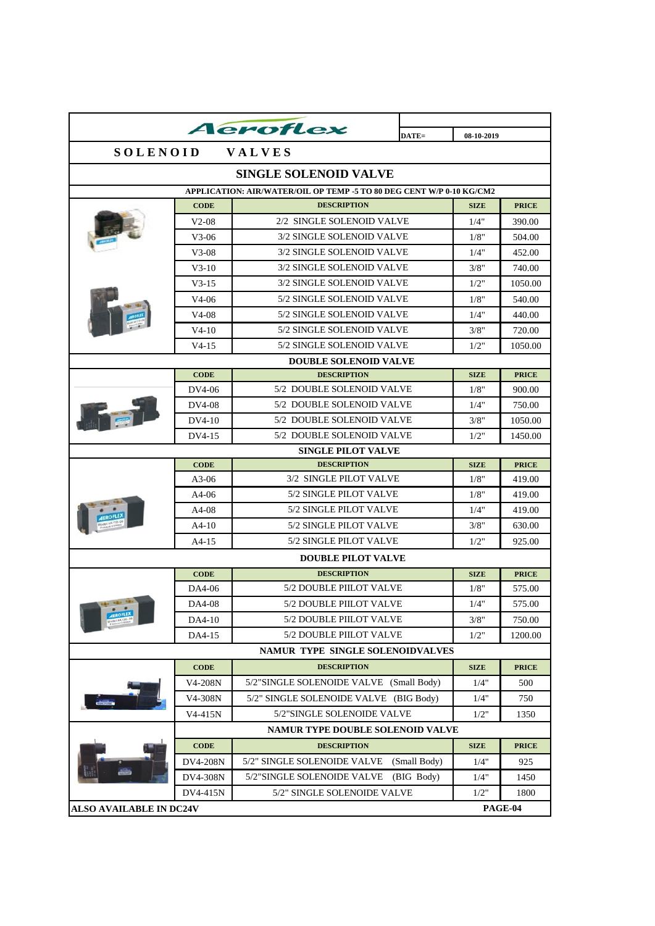|                                |                 | Aeroflex                                                             |              |             |              |  |  |  |
|--------------------------------|-----------------|----------------------------------------------------------------------|--------------|-------------|--------------|--|--|--|
|                                |                 |                                                                      | DATE=        | 08-10-2019  |              |  |  |  |
| <b>SOLENOID</b><br>VALVES      |                 |                                                                      |              |             |              |  |  |  |
| <b>SINGLE SOLENOID VALVE</b>   |                 |                                                                      |              |             |              |  |  |  |
|                                |                 | APPLICATION: AIR/WATER/OIL OP TEMP -5 TO 80 DEG CENT W/P 0-10 KG/CM2 |              |             |              |  |  |  |
|                                | <b>CODE</b>     | <b>DESCRIPTION</b>                                                   |              | <b>SIZE</b> | <b>PRICE</b> |  |  |  |
|                                | $V2-08$         | 2/2 SINGLE SOLENOID VALVE                                            |              | 1/4"        | 390.00       |  |  |  |
|                                | V3-06           | 3/2 SINGLE SOLENOID VALVE                                            |              | 1/8"        | 504.00       |  |  |  |
|                                | $V3-08$         | 3/2 SINGLE SOLENOID VALVE                                            |              | 1/4"        | 452.00       |  |  |  |
|                                | $V3-10$         | 3/2 SINGLE SOLENOID VALVE                                            |              | 3/8"        | 740.00       |  |  |  |
|                                | $V3-15$         | 3/2 SINGLE SOLENOID VALVE                                            |              | 1/2"        | 1050.00      |  |  |  |
|                                | V4-06           | 5/2 SINGLE SOLENOID VALVE                                            |              | 1/8"        | 540.00       |  |  |  |
|                                | V4-08           | 5/2 SINGLE SOLENOID VALVE                                            |              | 1/4"        | 440.00       |  |  |  |
|                                | $V4-10$         | 5/2 SINGLE SOLENOID VALVE                                            |              | 3/8"        | 720.00       |  |  |  |
|                                | V4-15           | 5/2 SINGLE SOLENOID VALVE                                            |              | 1/2"        | 1050.00      |  |  |  |
|                                |                 | <b>DOUBLE SOLENOID VALVE</b>                                         |              |             |              |  |  |  |
|                                | <b>CODE</b>     | <b>DESCRIPTION</b>                                                   |              | <b>SIZE</b> | <b>PRICE</b> |  |  |  |
|                                | DV4-06          | 5/2 DOUBLE SOLENOID VALVE                                            |              | 1/8"        | 900.00       |  |  |  |
|                                | DV4-08          | 5/2 DOUBLE SOLENOID VALVE                                            |              | 1/4"        | 750.00       |  |  |  |
|                                | DV4-10          | 5/2 DOUBLE SOLENOID VALVE                                            |              | 3/8"        | 1050.00      |  |  |  |
|                                | DV4-15          | 5/2 DOUBLE SOLENOID VALVE                                            |              | 1/2"        | 1450.00      |  |  |  |
|                                |                 | <b>SINGLE PILOT VALVE</b>                                            |              |             |              |  |  |  |
|                                | <b>CODE</b>     | <b>DESCRIPTION</b>                                                   |              | <b>SIZE</b> | <b>PRICE</b> |  |  |  |
|                                | A3-06           | 3/2 SINGLE PILOT VALVE<br>5/2 SINGLE PILOT VALVE                     |              | 1/8"        | 419.00       |  |  |  |
|                                | A4-06           | 5/2 SINGLE PILOT VALVE                                               |              | 1/8"        | 419.00       |  |  |  |
|                                | A4-08           |                                                                      |              | 1/4"        | 419.00       |  |  |  |
|                                | $A4-10$         | 5/2 SINGLE PILOT VALVE                                               |              | 3/8"        | 630.00       |  |  |  |
|                                | $A4-15$         | 5/2 SINGLE PILOT VALVE                                               |              | 1/2"        | 925.00       |  |  |  |
|                                |                 | <b>DOUBLE PILOT VALVE</b>                                            |              |             |              |  |  |  |
|                                | <b>CODE</b>     | <b>DESCRIPTION</b>                                                   |              | <b>SIZE</b> | <b>PRICE</b> |  |  |  |
| <b>10 th</b>                   | DA4-06          | 5/2 DOUBLE PIILOT VALVE                                              |              | 1/8"        | 575.00       |  |  |  |
|                                | DA4-08          | 5/2 DOUBLE PIILOT VALVE                                              |              | $1/4"$      | 575.00       |  |  |  |
|                                | DA4-10          | 5/2 DOUBLE PIILOT VALVE                                              |              | 3/8"        | 750.00       |  |  |  |
|                                | DA4-15          | 5/2 DOUBLE PIILOT VALVE                                              |              | 1/2"        | 1200.00      |  |  |  |
|                                |                 | NAMUR TYPE SINGLE SOLENOIDVALVES                                     |              |             |              |  |  |  |
|                                | <b>CODE</b>     | <b>DESCRIPTION</b>                                                   |              | <b>SIZE</b> | <b>PRICE</b> |  |  |  |
|                                | V4-208N         | 5/2"SINGLE SOLENOIDE VALVE (Small Body)                              |              | 1/4"        | 500          |  |  |  |
|                                | V4-308N         | 5/2" SINGLE SOLENOIDE VALVE (BIG Body)                               |              | 1/4"        | 750          |  |  |  |
|                                | V4-415N         | 5/2"SINGLE SOLENOIDE VALVE                                           |              | 1/2"        | 1350         |  |  |  |
|                                |                 | <b>NAMUR TYPE DOUBLE SOLENOID VALVE</b>                              |              |             |              |  |  |  |
|                                | <b>CODE</b>     | <b>DESCRIPTION</b>                                                   |              | <b>SIZE</b> | <b>PRICE</b> |  |  |  |
|                                | <b>DV4-208N</b> | 5/2" SINGLE SOLENOIDE VALVE                                          | (Small Body) | 1/4"        | 925          |  |  |  |
|                                | DV4-308N        | 5/2"SINGLE SOLENOIDE VALVE                                           | (BIG Body)   | 1/4"        | 1450         |  |  |  |
|                                | DV4-415N        | 5/2" SINGLE SOLENOIDE VALVE                                          |              | 1/2"        | 1800         |  |  |  |
| <b>ALSO AVAILABLE IN DC24V</b> |                 |                                                                      |              |             | PAGE-04      |  |  |  |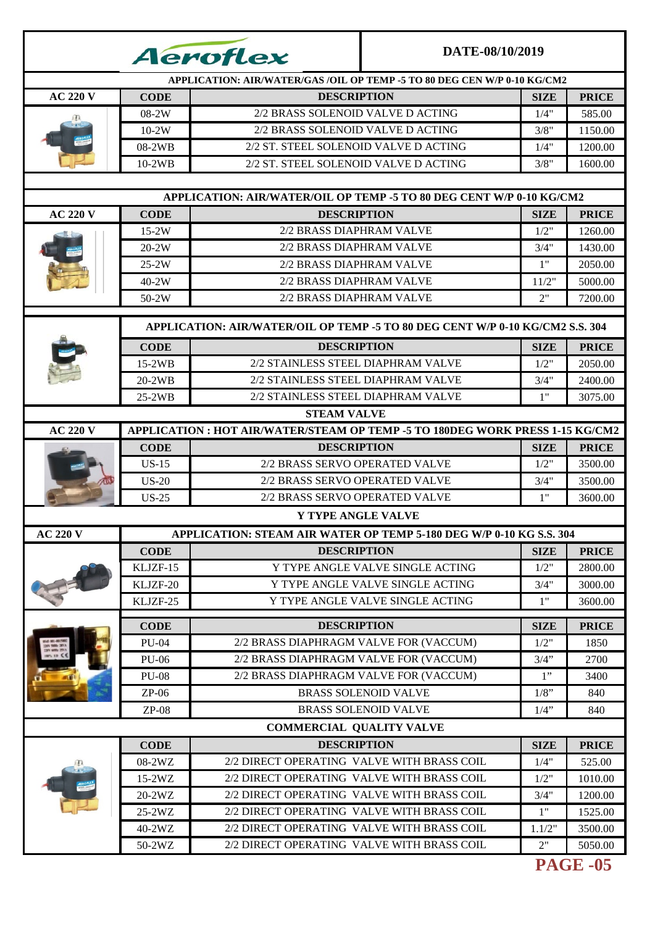|                 |              | <i><b>Aeroflex</b></i>                                                        | DATE-08/10/2019                  |             |              |
|-----------------|--------------|-------------------------------------------------------------------------------|----------------------------------|-------------|--------------|
|                 |              | APPLICATION: AIR/WATER/GAS/OIL OP TEMP -5 TO 80 DEG CEN W/P 0-10 KG/CM2       |                                  |             |              |
| <b>AC 220 V</b> | <b>CODE</b>  | <b>DESCRIPTION</b>                                                            |                                  | <b>SIZE</b> | <b>PRICE</b> |
|                 | 08-2W        | 2/2 BRASS SOLENOID VALVE D ACTING                                             |                                  | 1/4"        | 585.00       |
|                 | $10-2W$      | 2/2 BRASS SOLENOID VALVE DACTING                                              |                                  | 3/8"        | 1150.00      |
|                 | 08-2WB       | 2/2 ST. STEEL SOLENOID VALVE D ACTING                                         |                                  |             | 1200.00      |
|                 | $10-2WB$     | 2/2 ST. STEEL SOLENOID VALVE D ACTING                                         |                                  | 3/8"        | 1600.00      |
|                 |              |                                                                               |                                  |             |              |
|                 |              | APPLICATION: AIR/WATER/OIL OP TEMP -5 TO 80 DEG CENT W/P 0-10 KG/CM2          |                                  |             |              |
| <b>AC 220 V</b> | <b>CODE</b>  | <b>DESCRIPTION</b>                                                            |                                  | <b>SIZE</b> | <b>PRICE</b> |
|                 | $15-2W$      | 2/2 BRASS DIAPHRAM VALVE                                                      |                                  | 1/2"        | 1260.00      |
|                 | $20-2W$      | 2/2 BRASS DIAPHRAM VALVE                                                      |                                  | 3/4"        | 1430.00      |
|                 | $25-2W$      | 2/2 BRASS DIAPHRAM VALVE                                                      |                                  | 1"          | 2050.00      |
|                 | $40-2W$      | 2/2 BRASS DIAPHRAM VALVE                                                      |                                  | 11/2"       | 5000.00      |
|                 | 50-2W        | 2/2 BRASS DIAPHRAM VALVE                                                      |                                  | 2"          | 7200.00      |
|                 |              | APPLICATION: AIR/WATER/OIL OP TEMP -5 TO 80 DEG CENT W/P 0-10 KG/CM2 S.S. 304 |                                  |             |              |
|                 | <b>CODE</b>  | <b>DESCRIPTION</b>                                                            |                                  | <b>SIZE</b> | <b>PRICE</b> |
|                 | $15-2WB$     | 2/2 STAINLESS STEEL DIAPHRAM VALVE                                            |                                  | 1/2"        | 2050.00      |
|                 | $20-2WB$     | 2/2 STAINLESS STEEL DIAPHRAM VALVE                                            |                                  | 3/4"        | 2400.00      |
|                 | $25-2WB$     | 2/2 STAINLESS STEEL DIAPHRAM VALVE                                            |                                  | 1"          | 3075.00      |
|                 |              | <b>STEAM VALVE</b>                                                            |                                  |             |              |
| <b>AC 220 V</b> |              | APPLICATION : HOT AIR/WATER/STEAM OP TEMP -5 TO 180DEG WORK PRESS 1-15 KG/CM2 |                                  |             |              |
|                 | <b>CODE</b>  | <b>DESCRIPTION</b>                                                            |                                  | <b>SIZE</b> | <b>PRICE</b> |
|                 | $US-15$      | 2/2 BRASS SERVO OPERATED VALVE                                                |                                  |             | 3500.00      |
|                 | $US-20$      | 2/2 BRASS SERVO OPERATED VALVE                                                |                                  | 3/4"        | 3500.00      |
|                 | $US-25$      | 2/2 BRASS SERVO OPERATED VALVE                                                |                                  | 1"          | 3600.00      |
|                 |              | <b>Y TYPE ANGLE VALVE</b>                                                     |                                  |             |              |
| <b>AC 220 V</b> |              | APPLICATION: STEAM AIR WATER OP TEMP 5-180 DEG W/P 0-10 KG S.S. 304           |                                  |             |              |
|                 | <b>CODE</b>  | <b>DESCRIPTION</b>                                                            |                                  | <b>SIZE</b> | <b>PRICE</b> |
|                 | KLJZF-15     |                                                                               | Y TYPE ANGLE VALVE SINGLE ACTING | 1/2"        | 2800.00      |
|                 | KLJZF-20     |                                                                               | Y TYPE ANGLE VALVE SINGLE ACTING | 3/4"        | 3000.00      |
|                 | KLJZF-25     |                                                                               | Y TYPE ANGLE VALVE SINGLE ACTING | 1"          | 3600.00      |
|                 |              |                                                                               |                                  |             |              |
|                 | <b>CODE</b>  | <b>DESCRIPTION</b>                                                            |                                  | <b>SIZE</b> | <b>PRICE</b> |
|                 | <b>PU-04</b> | 2/2 BRASS DIAPHRAGM VALVE FOR (VACCUM)                                        |                                  | 1/2"        | 1850         |
|                 | <b>PU-06</b> | 2/2 BRASS DIAPHRAGM VALVE FOR (VACCUM)                                        |                                  | $3/4$ "     | 2700         |
|                 | <b>PU-08</b> | 2/2 BRASS DIAPHRAGM VALVE FOR (VACCUM)                                        |                                  | 1"          | 3400         |
|                 | $ZP-06$      |                                                                               | <b>BRASS SOLENOID VALVE</b>      | $1/8$ "     | 840          |
|                 | $ZP-08$      |                                                                               | <b>BRASS SOLENOID VALVE</b>      | $1/4$ "     | 840          |
|                 |              | <b>COMMERCIAL QUALITY VALVE</b>                                               |                                  |             |              |
|                 | <b>CODE</b>  | <b>DESCRIPTION</b>                                                            |                                  | <b>SIZE</b> | <b>PRICE</b> |
|                 | 08-2WZ       | 2/2 DIRECT OPERATING VALVE WITH BRASS COIL                                    |                                  | 1/4"        | 525.00       |
|                 | 15-2WZ       | 2/2 DIRECT OPERATING VALVE WITH BRASS COIL                                    |                                  | 1/2"        | 1010.00      |
|                 | 20-2WZ       | 2/2 DIRECT OPERATING VALVE WITH BRASS COIL                                    |                                  | 3/4"        | 1200.00      |
|                 | $25-2WZ$     | 2/2 DIRECT OPERATING VALVE WITH BRASS COIL                                    |                                  | 1"          | 1525.00      |
|                 | 40-2WZ       | 2/2 DIRECT OPERATING VALVE WITH BRASS COIL                                    |                                  | 1.1/2"      | 3500.00      |
|                 | 50-2WZ       | 2/2 DIRECT OPERATING VALVE WITH BRASS COIL                                    |                                  | 2"          | 5050.00      |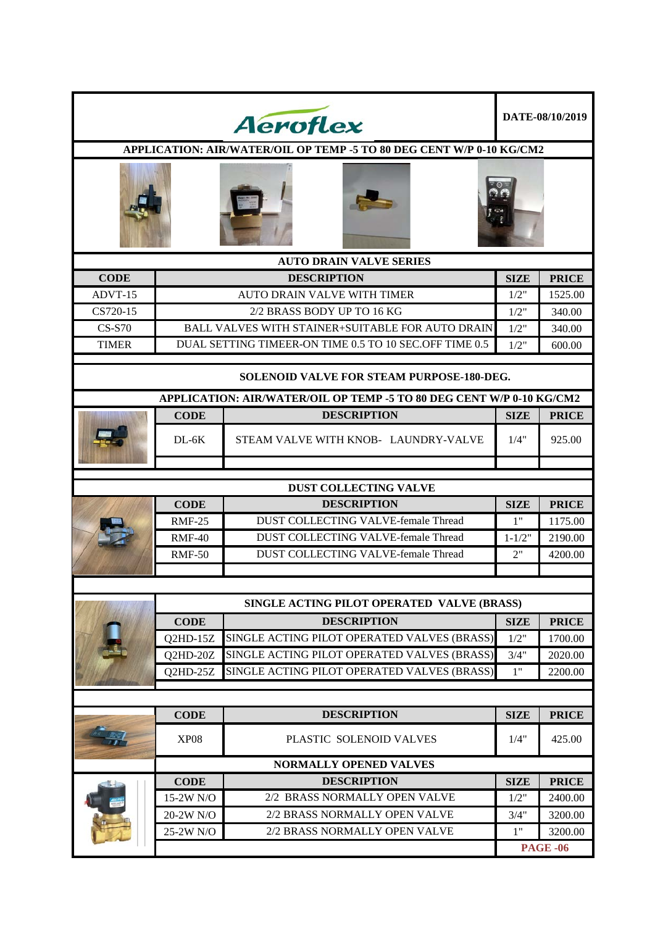|              |               | <b>Aeroflex</b>                                                                                                          |             | DATE-08/10/2019 |
|--------------|---------------|--------------------------------------------------------------------------------------------------------------------------|-------------|-----------------|
|              |               | APPLICATION: AIR/WATER/OIL OP TEMP -5 TO 80 DEG CENT W/P 0-10 KG/CM2                                                     |             |                 |
|              |               |                                                                                                                          |             |                 |
|              |               | <b>AUTO DRAIN VALVE SERIES</b>                                                                                           |             |                 |
| <b>CODE</b>  |               | <b>DESCRIPTION</b>                                                                                                       | <b>SIZE</b> | <b>PRICE</b>    |
| ADVT-15      |               | <b>AUTO DRAIN VALVE WITH TIMER</b>                                                                                       | 1/2"        | 1525.00         |
| CS720-15     |               | 2/2 BRASS BODY UP TO 16 KG                                                                                               | 1/2"        | 340.00          |
| $CS-S70$     |               | <b>BALL VALVES WITH STAINER+SUITABLE FOR AUTO DRAIN</b>                                                                  | 1/2"        | 340.00          |
| <b>TIMER</b> |               | DUAL SETTING TIMEER-ON TIME 0.5 TO 10 SEC.OFF TIME 0.5                                                                   | 1/2"        | 600.00          |
|              |               | <b>SOLENOID VALVE FOR STEAM PURPOSE-180-DEG.</b><br>APPLICATION: AIR/WATER/OIL OP TEMP -5 TO 80 DEG CENT W/P 0-10 KG/CM2 |             |                 |
|              | <b>CODE</b>   | <b>DESCRIPTION</b>                                                                                                       | <b>SIZE</b> | <b>PRICE</b>    |
|              | $DL-6K$       | STEAM VALVE WITH KNOB- LAUNDRY-VALVE                                                                                     | 1/4"        | 925.00          |
|              |               |                                                                                                                          |             |                 |
|              |               | <b>DUST COLLECTING VALVE</b>                                                                                             |             |                 |
|              | <b>CODE</b>   | <b>DESCRIPTION</b>                                                                                                       | <b>SIZE</b> | <b>PRICE</b>    |
|              | <b>RMF-25</b> | <b>DUST COLLECTING VALVE-female Thread</b>                                                                               | 1"          | 1175.00         |
|              | $RMF-40$      | DUST COLLECTING VALVE-female Thread                                                                                      | $1 - 1/2"$  | 2190.00         |
|              | <b>RMF-50</b> | DUST COLLECTING VALVE-female Thread                                                                                      | 2"          | 4200.00         |
|              |               |                                                                                                                          |             |                 |
|              |               | SINGLE ACTING PILOT OPERATED VALVE (BRASS)                                                                               |             |                 |
|              | <b>CODE</b>   | <b>DESCRIPTION</b>                                                                                                       | <b>SIZE</b> | <b>PRICE</b>    |
|              | $Q2HD-15Z$    | SINGLE ACTING PILOT OPERATED VALVES (BRASS)                                                                              | 1/2"        | 1700.00         |
|              | Q2HD-20Z      | SINGLE ACTING PILOT OPERATED VALVES (BRASS)                                                                              | 3/4"        | 2020.00         |
|              | Q2HD-25Z      | SINGLE ACTING PILOT OPERATED VALVES (BRASS)                                                                              | 1"          | 2200.00         |
|              |               |                                                                                                                          |             |                 |
|              | <b>CODE</b>   | <b>DESCRIPTION</b>                                                                                                       | <b>SIZE</b> | <b>PRICE</b>    |
|              | <b>XP08</b>   | PLASTIC SOLENOID VALVES                                                                                                  | 1/4"        | 425.00          |
|              |               | <b>NORMALLY OPENED VALVES</b>                                                                                            |             |                 |
|              | <b>CODE</b>   | <b>DESCRIPTION</b>                                                                                                       | <b>SIZE</b> | <b>PRICE</b>    |
|              | 15-2W N/O     | 2/2 BRASS NORMALLY OPEN VALVE                                                                                            | 1/2"        | 2400.00         |
|              | 20-2W N/O     | 2/2 BRASS NORMALLY OPEN VALVE                                                                                            | 3/4"        | 3200.00         |
|              | 25-2W N/O     | 2/2 BRASS NORMALLY OPEN VALVE                                                                                            | 1"          | 3200.00         |
|              |               |                                                                                                                          |             | <b>PAGE -06</b> |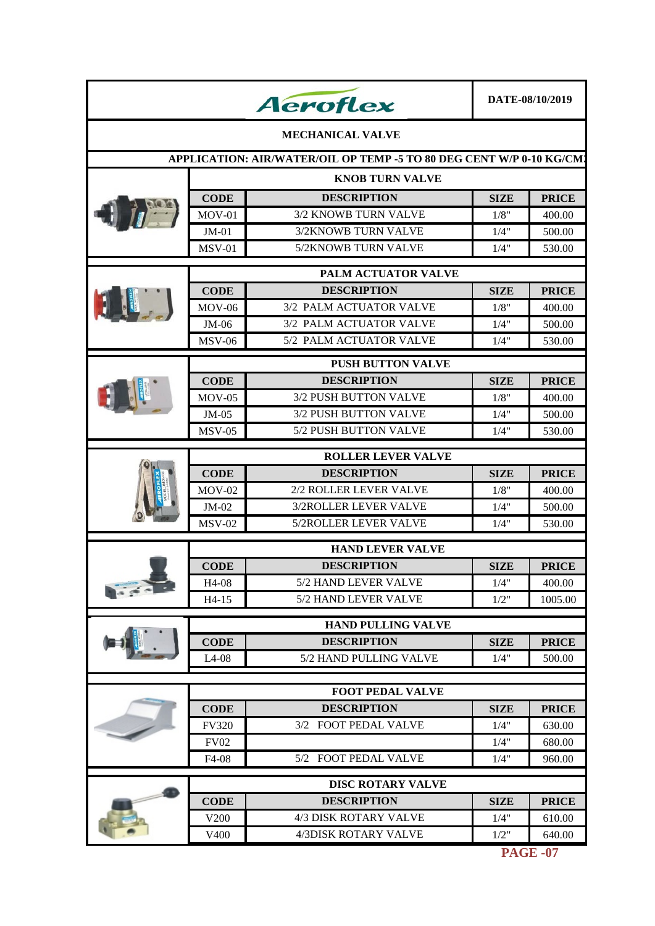|                                               |                           | <b>Aeroflex</b>                                                     |             | DATE-08/10/2019 |  |  |  |  |
|-----------------------------------------------|---------------------------|---------------------------------------------------------------------|-------------|-----------------|--|--|--|--|
|                                               |                           | <b>MECHANICAL VALVE</b>                                             |             |                 |  |  |  |  |
|                                               |                           | APPLICATION: AIR/WATER/OIL OP TEMP -5 TO 80 DEG CENT W/P 0-10 KG/CM |             |                 |  |  |  |  |
|                                               | <b>KNOB TURN VALVE</b>    |                                                                     |             |                 |  |  |  |  |
|                                               | <b>CODE</b>               | <b>DESCRIPTION</b>                                                  | <b>SIZE</b> | <b>PRICE</b>    |  |  |  |  |
|                                               | $MOV-01$                  | <b>3/2 KNOWB TURN VALVE</b>                                         | 1/8"        | 400.00          |  |  |  |  |
|                                               | $JM-01$                   | 3/2KNOWB TURN VALVE                                                 | 1/4"        | 500.00          |  |  |  |  |
|                                               | <b>MSV-01</b>             | 5/2KNOWB TURN VALVE                                                 | 1/4"        | 530.00          |  |  |  |  |
|                                               |                           | PALM ACTUATOR VALVE                                                 |             |                 |  |  |  |  |
|                                               | <b>CODE</b>               | <b>DESCRIPTION</b>                                                  | SIZE        | <b>PRICE</b>    |  |  |  |  |
| $\mathbf{u}$                                  | $MOV-06$                  | 3/2 PALM ACTUATOR VALVE                                             | 1/8"        | 400.00          |  |  |  |  |
|                                               | $JM-06$                   | 3/2 PALM ACTUATOR VALVE                                             | 1/4"        | 500.00          |  |  |  |  |
|                                               | <b>MSV-06</b>             | 5/2 PALM ACTUATOR VALVE                                             | 1/4"        | 530.00          |  |  |  |  |
|                                               |                           | <b>PUSH BUTTON VALVE</b>                                            |             |                 |  |  |  |  |
|                                               | <b>CODE</b>               | <b>DESCRIPTION</b>                                                  | <b>SIZE</b> | <b>PRICE</b>    |  |  |  |  |
|                                               | $MOV-05$                  | <b>3/2 PUSH BUTTON VALVE</b>                                        | 1/8"        | 400.00          |  |  |  |  |
|                                               | $JM-05$                   | 3/2 PUSH BUTTON VALVE                                               | 1/4"        | 500.00          |  |  |  |  |
|                                               | $MSV-05$                  | 5/2 PUSH BUTTON VALVE                                               | 1/4"        | 530.00          |  |  |  |  |
|                                               | <b>ROLLER LEVER VALVE</b> |                                                                     |             |                 |  |  |  |  |
|                                               | <b>CODE</b>               | <b>DESCRIPTION</b>                                                  | <b>SIZE</b> | <b>PRICE</b>    |  |  |  |  |
|                                               | $MOV-02$                  | 2/2 ROLLER LEVER VALVE                                              | 1/8"        | 400.00          |  |  |  |  |
|                                               | $JM-02$                   | 3/2ROLLER LEVER VALVE                                               | 1/4"        | 500.00          |  |  |  |  |
|                                               | $MSV-02$                  | 5/2ROLLER LEVER VALVE                                               | 1/4"        | 530.00          |  |  |  |  |
|                                               |                           | <b>HAND LEVER VALVE</b>                                             |             |                 |  |  |  |  |
|                                               | <b>CODE</b>               | <b>DESCRIPTION</b>                                                  | <b>SIZE</b> | <b>PRICE</b>    |  |  |  |  |
|                                               | H4-08                     | 5/2 HAND LEVER VALVE                                                | 1/4"        | 400.00          |  |  |  |  |
| $\frac{1}{2}$ , $\frac{1}{2}$ , $\frac{1}{2}$ | H4-15                     | 5/2 HAND LEVER VALVE                                                | $1/2$ "     | 1005.00         |  |  |  |  |
|                                               |                           | <b>HAND PULLING VALVE</b>                                           |             |                 |  |  |  |  |
|                                               | <b>CODE</b>               | <b>DESCRIPTION</b>                                                  | <b>SIZE</b> | <b>PRICE</b>    |  |  |  |  |
|                                               | $L4-08$                   | 5/2 HAND PULLING VALVE                                              | 1/4"        | 500.00          |  |  |  |  |
|                                               |                           |                                                                     |             |                 |  |  |  |  |
|                                               |                           | <b>FOOT PEDAL VALVE</b>                                             |             |                 |  |  |  |  |
|                                               | <b>CODE</b>               | <b>DESCRIPTION</b>                                                  | <b>SIZE</b> | <b>PRICE</b>    |  |  |  |  |
|                                               | <b>FV320</b>              | 3/2 FOOT PEDAL VALVE                                                | 1/4"        | 630.00          |  |  |  |  |
|                                               | <b>FV02</b>               |                                                                     | 1/4"        | 680.00          |  |  |  |  |
|                                               | F4-08                     | 5/2 FOOT PEDAL VALVE                                                | 1/4"        | 960.00          |  |  |  |  |
|                                               |                           | <b>DISC ROTARY VALVE</b>                                            |             |                 |  |  |  |  |
|                                               | <b>CODE</b>               | <b>DESCRIPTION</b>                                                  | <b>SIZE</b> | <b>PRICE</b>    |  |  |  |  |
|                                               | V <sub>200</sub>          | 4/3 DISK ROTARY VALVE                                               | 1/4"        | 610.00          |  |  |  |  |
|                                               | V400                      | 4/3DISK ROTARY VALVE                                                | 1/2"        | 640.00          |  |  |  |  |
|                                               |                           |                                                                     |             |                 |  |  |  |  |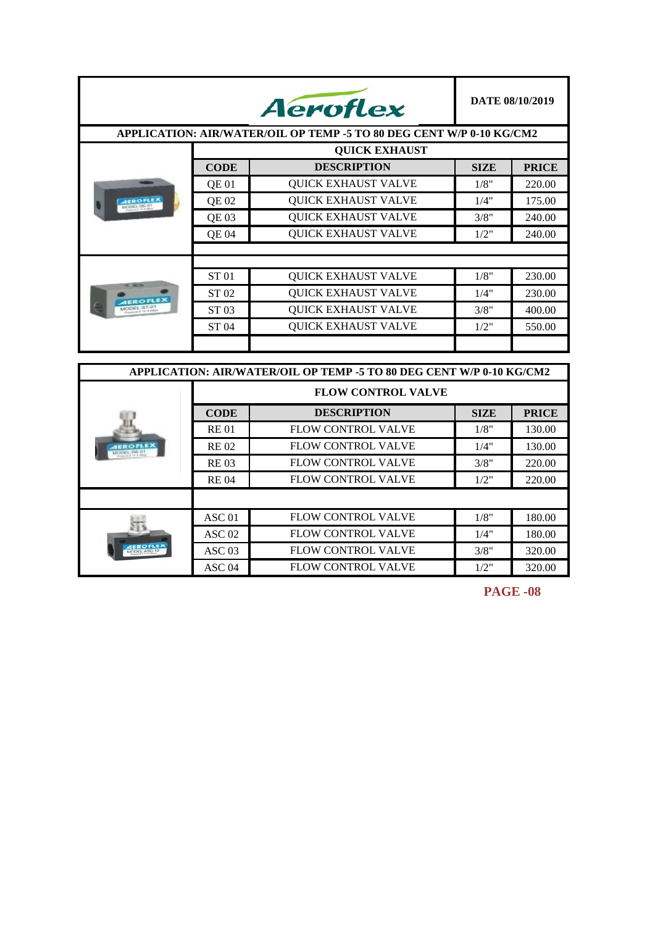|                                                           |              | <b>Aeroflex</b>                                                      |             | DATE 08/10/2019 |
|-----------------------------------------------------------|--------------|----------------------------------------------------------------------|-------------|-----------------|
|                                                           |              | APPLICATION: AIR/WATER/OIL OP TEMP -5 TO 80 DEG CENT W/P 0-10 KG/CM2 |             |                 |
|                                                           |              | <b>QUICK EXHAUST</b>                                                 |             |                 |
|                                                           | <b>CODE</b>  | <b>DESCRIPTION</b>                                                   | <b>SIZE</b> | <b>PRICE</b>    |
|                                                           | <b>QE01</b>  | <b>OUICK EXHAUST VALVE</b>                                           | 1/8"        | 220.00          |
| <b>AEROFLEX</b>                                           | QE 02        | <b>QUICK EXHAUST VALVE</b>                                           | 1/4"        | 175.00          |
|                                                           | <b>OE 03</b> | <b>QUICK EXHAUST VALVE</b>                                           | 3/8"        | 240.00          |
|                                                           | <b>QE04</b>  | <b>QUICK EXHAUST VALVE</b>                                           | 1/2"        | 240.00          |
|                                                           |              |                                                                      |             |                 |
|                                                           |              |                                                                      |             |                 |
|                                                           | <b>ST01</b>  | <b>QUICK EXHAUST VALVE</b>                                           | 1/8"        | 230.00          |
| <b>IEROFLEX</b><br>MODEL:ST-01<br>President 3, 19-3, EMin | ST 02        | <b>OUICK EXHAUST VALVE</b>                                           | 1/4"        | 230.00          |
|                                                           | ST 03        | <b>QUICK EXHAUST VALVE</b>                                           | 3/8"        | 400.00          |
|                                                           | ST 04        | <b>QUICK EXHAUST VALVE</b>                                           | 1/2"        | 550.00          |
|                                                           |              |                                                                      |             |                 |

| APPLICATION: AIR/WATER/OIL OP TEMP -5 TO 80 DEG CENT W/P 0-10 KG/CM2 |                 |                           |             |              |  |  |
|----------------------------------------------------------------------|-----------------|---------------------------|-------------|--------------|--|--|
|                                                                      |                 | <b>FLOW CONTROL VALVE</b> |             |              |  |  |
|                                                                      | <b>CODE</b>     | <b>DESCRIPTION</b>        | <b>SIZE</b> | <b>PRICE</b> |  |  |
|                                                                      | <b>RE01</b>     | <b>FLOW CONTROL VALVE</b> | 1/8"        | 130.00       |  |  |
|                                                                      | <b>RE02</b>     | FLOW CONTROL VALVE        | 1/4"        | 130.00       |  |  |
|                                                                      | <b>RE03</b>     | <b>FLOW CONTROL VALVE</b> | 3/8"        | 220.00       |  |  |
|                                                                      | <b>RE04</b>     | FLOW CONTROL VALVE        | 1/2"        | 220.00       |  |  |
|                                                                      |                 |                           |             |              |  |  |
|                                                                      | ASC 01          | FLOW CONTROL VALVE        | 1/8"        | 180.00       |  |  |
| <b>OFLI</b><br><b>MODEL ASC-10</b>                                   | ASC 02          | FLOW CONTROL VALVE        | 1/4"        | 180.00       |  |  |
|                                                                      | $\angle$ ASC 03 | <b>FLOW CONTROL VALVE</b> | 3/8"        | 320.00       |  |  |
|                                                                      | ASC 04          | <b>FLOW CONTROL VALVE</b> | 1/2"        | 320.00       |  |  |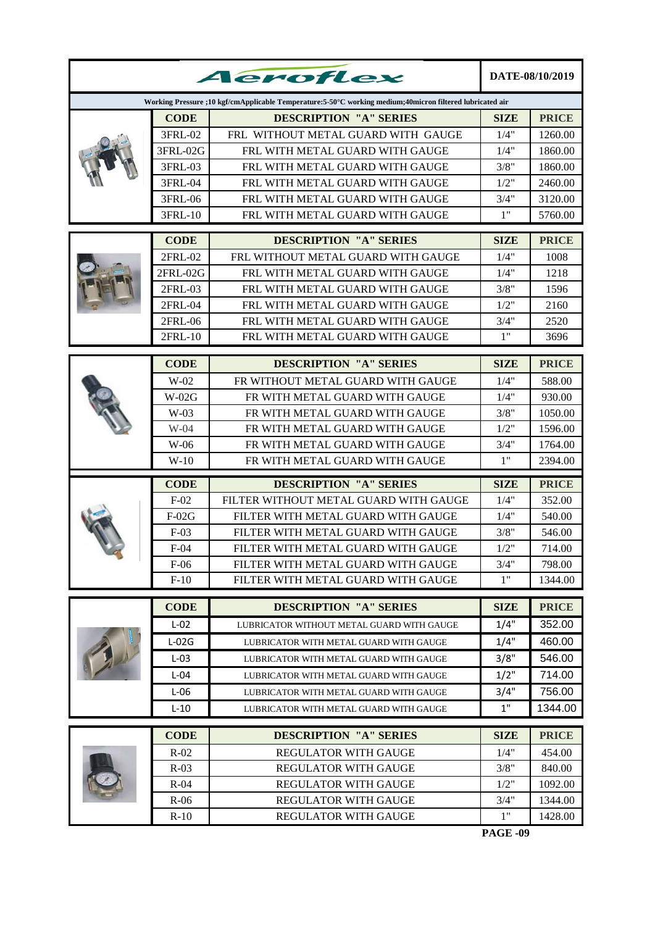|  |             | Aeroflex                                                                                                 |             | DATE-08/10/2019 |
|--|-------------|----------------------------------------------------------------------------------------------------------|-------------|-----------------|
|  |             | Working Pressure ;10 kgf/cmApplicable Temperature:5-50°C working medium;40micron filtered lubricated air |             |                 |
|  | <b>CODE</b> | <b>DESCRIPTION "A" SERIES</b>                                                                            | SIZE        | <b>PRICE</b>    |
|  | 3FRL-02     | FRL WITHOUT METAL GUARD WITH GAUGE                                                                       | 1/4"        | 1260.00         |
|  | 3FRL-02G    | FRL WITH METAL GUARD WITH GAUGE                                                                          | 1/4"        | 1860.00         |
|  | 3FRL-03     | FRL WITH METAL GUARD WITH GAUGE                                                                          | 3/8"        | 1860.00         |
|  | 3FRL-04     | FRL WITH METAL GUARD WITH GAUGE                                                                          | 1/2"        | 2460.00         |
|  | 3FRL-06     | FRL WITH METAL GUARD WITH GAUGE                                                                          | 3/4"        | 3120.00         |
|  | 3FRL-10     | FRL WITH METAL GUARD WITH GAUGE                                                                          | 1"          | 5760.00         |
|  | <b>CODE</b> | <b>DESCRIPTION "A" SERIES</b>                                                                            | <b>SIZE</b> | <b>PRICE</b>    |
|  | 2FRL-02     | FRL WITHOUT METAL GUARD WITH GAUGE                                                                       | 1/4"        | 1008            |
|  | $2FRL-02G$  | FRL WITH METAL GUARD WITH GAUGE                                                                          | 1/4"        | 1218            |
|  | 2FRL-03     | FRL WITH METAL GUARD WITH GAUGE                                                                          | 3/8"        | 1596            |
|  | 2FRL-04     | FRL WITH METAL GUARD WITH GAUGE                                                                          | 1/2"        | 2160            |
|  | 2FRL-06     | FRL WITH METAL GUARD WITH GAUGE                                                                          | 3/4"        | 2520            |
|  | 2FRL-10     | FRL WITH METAL GUARD WITH GAUGE                                                                          | 1"          | 3696            |
|  | <b>CODE</b> | <b>DESCRIPTION "A" SERIES</b>                                                                            | <b>SIZE</b> | <b>PRICE</b>    |
|  | $W-02$      | FR WITHOUT METAL GUARD WITH GAUGE                                                                        | 1/4"        | 588.00          |
|  | $W-02G$     | FR WITH METAL GUARD WITH GAUGE                                                                           | 1/4"        | 930.00          |
|  | $W-03$      | FR WITH METAL GUARD WITH GAUGE                                                                           | 3/8"        | 1050.00         |
|  | $W-04$      | FR WITH METAL GUARD WITH GAUGE                                                                           | 1/2"        | 1596.00         |
|  | $W-06$      | FR WITH METAL GUARD WITH GAUGE                                                                           | 3/4"        | 1764.00         |
|  | $W-10$      | FR WITH METAL GUARD WITH GAUGE                                                                           | 1"          | 2394.00         |
|  | <b>CODE</b> | <b>DESCRIPTION "A" SERIES</b>                                                                            | <b>SIZE</b> | <b>PRICE</b>    |
|  | $F-02$      | FILTER WITHOUT METAL GUARD WITH GAUGE                                                                    | 1/4"        | 352.00          |
|  | $F-02G$     | FILTER WITH METAL GUARD WITH GAUGE                                                                       | 1/4"        | 540.00          |
|  | $F-03$      | FILTER WITH METAL GUARD WITH GAUGE                                                                       | 3/8"        | 546.00          |
|  | $F-04$      | FILTER WITH METAL GUARD WITH GAUGE                                                                       | 1/2"        | 714.00          |
|  | $F-06$      | FILTER WITH METAL GUARD WITH GAUGE                                                                       | 3/4"        | 798.00          |
|  | $F-10$      | FILTER WITH METAL GUARD WITH GAUGE                                                                       | 1"          | 1344.00         |
|  | <b>CODE</b> | <b>DESCRIPTION "A" SERIES</b>                                                                            | <b>SIZE</b> | <b>PRICE</b>    |
|  | $L-02$      | LUBRICATOR WITHOUT METAL GUARD WITH GAUGE                                                                | 1/4"        | 352.00          |
|  | $L-02G$     | LUBRICATOR WITH METAL GUARD WITH GAUGE                                                                   | 1/4"        | 460.00          |
|  | $L-03$      | LUBRICATOR WITH METAL GUARD WITH GAUGE                                                                   | 3/8"        | 546.00          |
|  | $L-04$      | LUBRICATOR WITH METAL GUARD WITH GAUGE                                                                   | $1/2$ "     | 714.00          |
|  | $L-06$      | LUBRICATOR WITH METAL GUARD WITH GAUGE                                                                   | 3/4"        | 756.00          |
|  | $L-10$      | LUBRICATOR WITH METAL GUARD WITH GAUGE                                                                   | $1"$        | 1344.00         |
|  | <b>CODE</b> | <b>DESCRIPTION "A" SERIES</b>                                                                            | <b>SIZE</b> | <b>PRICE</b>    |
|  | $R-02$      | <b>REGULATOR WITH GAUGE</b>                                                                              | 1/4"        | 454.00          |
|  | $R-03$      | <b>REGULATOR WITH GAUGE</b>                                                                              | 3/8"        | 840.00          |
|  | $R-04$      | <b>REGULATOR WITH GAUGE</b>                                                                              | 1/2"        | 1092.00         |
|  | $R-06$      | <b>REGULATOR WITH GAUGE</b>                                                                              | 3/4"        | 1344.00         |
|  | $R-10$      | REGULATOR WITH GAUGE                                                                                     | 1"          | 1428.00         |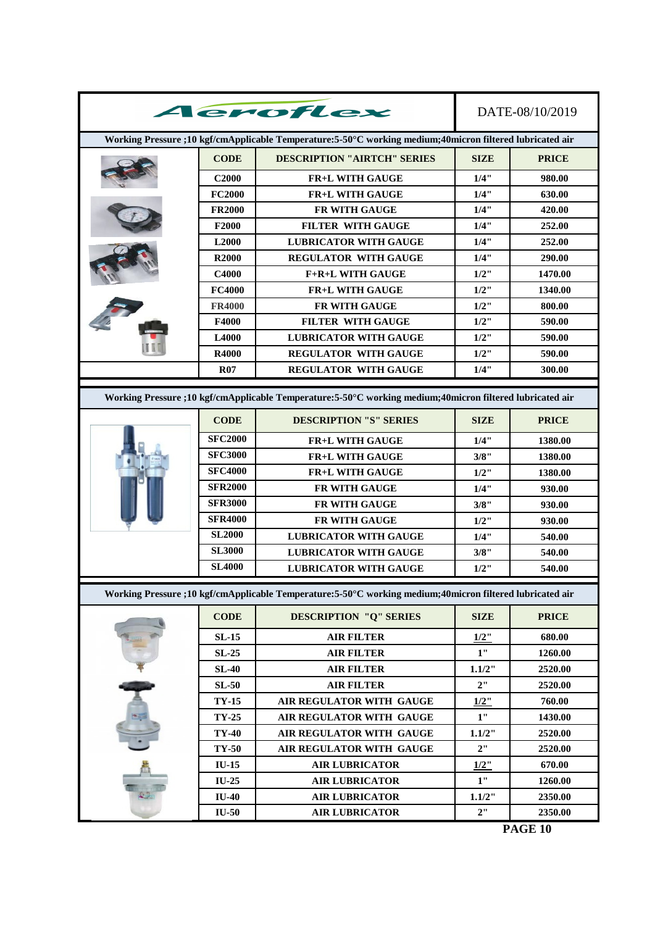|                                                                                                          |                   | Aeroflex                                                                                                 |             | DATE-08/10/2019 |  |  |
|----------------------------------------------------------------------------------------------------------|-------------------|----------------------------------------------------------------------------------------------------------|-------------|-----------------|--|--|
| Working Pressure ;10 kgf/cmApplicable Temperature:5-50°C working medium;40micron filtered lubricated air |                   |                                                                                                          |             |                 |  |  |
|                                                                                                          | <b>CODE</b>       | <b>DESCRIPTION "AIRTCH" SERIES</b>                                                                       | <b>SIZE</b> | <b>PRICE</b>    |  |  |
|                                                                                                          | <b>C2000</b>      | <b>FR+L WITH GAUGE</b>                                                                                   | 1/4"        | 980.00          |  |  |
|                                                                                                          | <b>FC2000</b>     | <b>FR+L WITH GAUGE</b>                                                                                   | 1/4"        | 630.00          |  |  |
|                                                                                                          | <b>FR2000</b>     | FR WITH GAUGE                                                                                            | 1/4"        | 420.00          |  |  |
|                                                                                                          | F2000             | <b>FILTER WITH GAUGE</b>                                                                                 | 1/4"        | 252.00          |  |  |
|                                                                                                          | L <sub>2000</sub> | <b>LUBRICATOR WITH GAUGE</b>                                                                             | 1/4"        | 252.00          |  |  |
|                                                                                                          | <b>R2000</b>      | <b>REGULATOR WITH GAUGE</b>                                                                              | 1/4"        | 290.00          |  |  |
|                                                                                                          | C4000             | <b>F+R+L WITH GAUGE</b>                                                                                  | $1/2$ "     | 1470.00         |  |  |
|                                                                                                          | <b>FC4000</b>     | <b>FR+L WITH GAUGE</b>                                                                                   | $1/2$ "     | 1340.00         |  |  |
|                                                                                                          | <b>FR4000</b>     | <b>FR WITH GAUGE</b>                                                                                     | $1/2$ "     | 800.00          |  |  |
|                                                                                                          | F4000             | <b>FILTER WITH GAUGE</b>                                                                                 | $1/2$ "     | 590.00          |  |  |
|                                                                                                          | L4000             | <b>LUBRICATOR WITH GAUGE</b>                                                                             | $1/2$ "     | 590.00          |  |  |
|                                                                                                          | R4000             | <b>REGULATOR WITH GAUGE</b>                                                                              | $1/2$ "     | 590.00          |  |  |
|                                                                                                          | <b>R07</b>        | <b>REGULATOR WITH GAUGE</b>                                                                              | 1/4"        | 300.00          |  |  |
|                                                                                                          |                   |                                                                                                          |             |                 |  |  |
|                                                                                                          |                   | Working Pressure ;10 kgf/cmApplicable Temperature:5-50°C working medium;40micron filtered lubricated air |             |                 |  |  |
|                                                                                                          | <b>CODE</b>       | <b>DESCRIPTION "S" SERIES</b>                                                                            | <b>SIZE</b> | <b>PRICE</b>    |  |  |
|                                                                                                          | <b>SFC2000</b>    | <b>FR+L WITH GAUGE</b>                                                                                   | 1/4"        | 1380.00         |  |  |
|                                                                                                          | <b>SFC3000</b>    | <b>FR+L WITH GAUGE</b>                                                                                   | 3/8"        | 1380.00         |  |  |
|                                                                                                          | <b>SFC4000</b>    | <b>FR+L WITH GAUGE</b>                                                                                   | $1/2$ "     | 1380.00         |  |  |
|                                                                                                          | <b>SFR2000</b>    | <b>FR WITH GAUGE</b>                                                                                     | 1/4"        | 930.00          |  |  |
|                                                                                                          | <b>SFR3000</b>    | <b>FR WITH GAUGE</b>                                                                                     | 3/8"        | 930.00          |  |  |
|                                                                                                          | <b>SFR4000</b>    | <b>FR WITH GAUGE</b>                                                                                     | $1/2$ "     | 930.00          |  |  |
|                                                                                                          | <b>SL2000</b>     | <b>LUBRICATOR WITH GAUGE</b>                                                                             | 1/4"        | 540.00          |  |  |
|                                                                                                          | <b>SL3000</b>     | <b>LUBRICATOR WITH GAUGE</b>                                                                             | 3/8"        | 540.00          |  |  |
|                                                                                                          | <b>SL4000</b>     | <b>LUBRICATOR WITH GAUGE</b>                                                                             | $1/2$ "     | 540.00          |  |  |
|                                                                                                          |                   | Working Pressure ;10 kgf/cmApplicable Temperature:5-50°C working medium;40micron filtered lubricated air |             |                 |  |  |
|                                                                                                          | <b>CODE</b>       | <b>DESCRIPTION "Q" SERIES</b>                                                                            | <b>SIZE</b> | <b>PRICE</b>    |  |  |
|                                                                                                          | $SL-15$           | <b>AIR FILTER</b>                                                                                        | $1/2$ "     | 680.00          |  |  |
|                                                                                                          | $SL-25$           | <b>AIR FILTER</b>                                                                                        | 1"          | 1260.00         |  |  |
|                                                                                                          | <b>SL-40</b>      | <b>AIR FILTER</b>                                                                                        | 1.1/2"      | 2520.00         |  |  |
| $\overline{1}$                                                                                           | $SL-50$           | <b>AIR FILTER</b>                                                                                        | 2"          | 2520.00         |  |  |
|                                                                                                          | <b>TY-15</b>      | AIR REGULATOR WITH GAUGE                                                                                 | $1/2$ "     | 760.00          |  |  |
|                                                                                                          | $TY-25$           | AIR REGULATOR WITH GAUGE                                                                                 | 1"          | 1430.00         |  |  |
|                                                                                                          | <b>TY-40</b>      | AIR REGULATOR WITH GAUGE                                                                                 | 1.1/2"      | 2520.00         |  |  |
|                                                                                                          | TY-50             | AIR REGULATOR WITH GAUGE                                                                                 | 2"          |                 |  |  |
|                                                                                                          |                   |                                                                                                          |             | 2520.00         |  |  |
|                                                                                                          | $IU-15$           | <b>AIR LUBRICATOR</b>                                                                                    | $1/2$ "     | 670.00          |  |  |
|                                                                                                          | IU-25             | <b>AIR LUBRICATOR</b>                                                                                    | 1"          | 1260.00         |  |  |
|                                                                                                          | <b>IU-40</b>      | <b>AIR LUBRICATOR</b>                                                                                    | 1.1/2"      | 2350.00         |  |  |
|                                                                                                          | <b>IU-50</b>      | <b>AIR LUBRICATOR</b>                                                                                    | 2"          | 2350.00         |  |  |

**PAGE 10**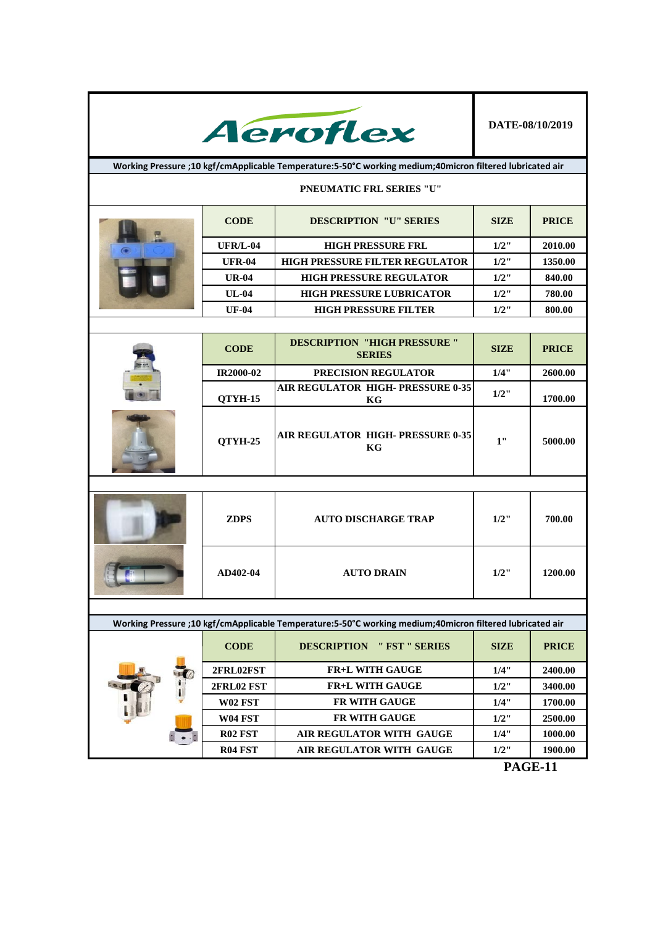

**Working Pressure ;10 kgf/cmApplicable Temperature:5-50°C working medium;40micron filtered lubricated air**

## **PNEUMATIC FRL SERIES "U"**

|  | <b>CODE</b>     | <b>DESCRIPTION "U" SERIES</b>         | <b>SIZE</b> | <b>PRICE</b> |
|--|-----------------|---------------------------------------|-------------|--------------|
|  | <b>UFR/L-04</b> | <b>HIGH PRESSURE FRL</b>              | $1/2$ "     | 2010.00      |
|  | <b>UFR-04</b>   | <b>HIGH PRESSURE FILTER REGULATOR</b> | $1/2$ "     | 1350.00      |
|  | <b>UR-04</b>    | <b>HIGH PRESSURE REGULATOR</b>        | $1/2$ "     | 840.00       |
|  | $UL-04$         | <b>HIGH PRESSURE LUBRICATOR</b>       | $1/2$ "     | 780.00       |
|  | <b>UF-04</b>    | <b>HIGH PRESSURE FILTER</b>           | $1/2$ "     | 800.00       |

| <b>CODE</b>      | <b>DESCRIPTION "HIGH PRESSURE "</b><br><b>PRICE</b><br><b>SIZE</b><br><b>SERIES</b> |              |         |
|------------------|-------------------------------------------------------------------------------------|--------------|---------|
| <b>IR2000-02</b> | <b>PRECISION REGULATOR</b>                                                          | 1/4"         | 2600.00 |
| <b>OTYH-15</b>   | AIR REGULATOR HIGH- PRESSURE 0-35<br>KG                                             | $1/2$ "      | 1700.00 |
| <b>OTYH-25</b>   | <b>AIR REGULATOR HIGH- PRESSURE 0-35</b><br>KG                                      | $\mathbf{1}$ | 5000.00 |

| <b>ZDPS</b> | <b>AUTO DISCHARGE TRAP</b> | $1/2$ " | 700.00  |
|-------------|----------------------------|---------|---------|
| AD402-04    | <b>AUTO DRAIN</b>          | $1/2$ " | 1200.00 |

| Working Pressure ;10 kgf/cmApplicable Temperature:5-50°C working medium;40micron filtered lubricated air |                |                                      |             |              |
|----------------------------------------------------------------------------------------------------------|----------------|--------------------------------------|-------------|--------------|
|                                                                                                          | <b>CODE</b>    | <b>DESCRIPTION</b><br>" FST " SERIES | <b>SIZE</b> | <b>PRICE</b> |
|                                                                                                          | 2FRL02FST      | <b>FR+L WITH GAUGE</b>               | 1/4"        | 2400.00      |
|                                                                                                          | 2FRL02 FST     | <b>FR+L WITH GAUGE</b>               | $1/2$ "     | 3400.00      |
|                                                                                                          | <b>W02 FST</b> | <b>FR WITH GAUGE</b>                 | 1/4"        | 1700.00      |
|                                                                                                          | <b>W04 FST</b> | FR WITH GAUGE                        | $1/2$ "     | 2500.00      |
|                                                                                                          | <b>R02 FST</b> | AIR REGULATOR WITH GAUGE             | 1/4"        | 1000.00      |
|                                                                                                          | <b>R04 FST</b> | AIR REGULATOR WITH GAUGE             | $1/2$ "     | 1900.00      |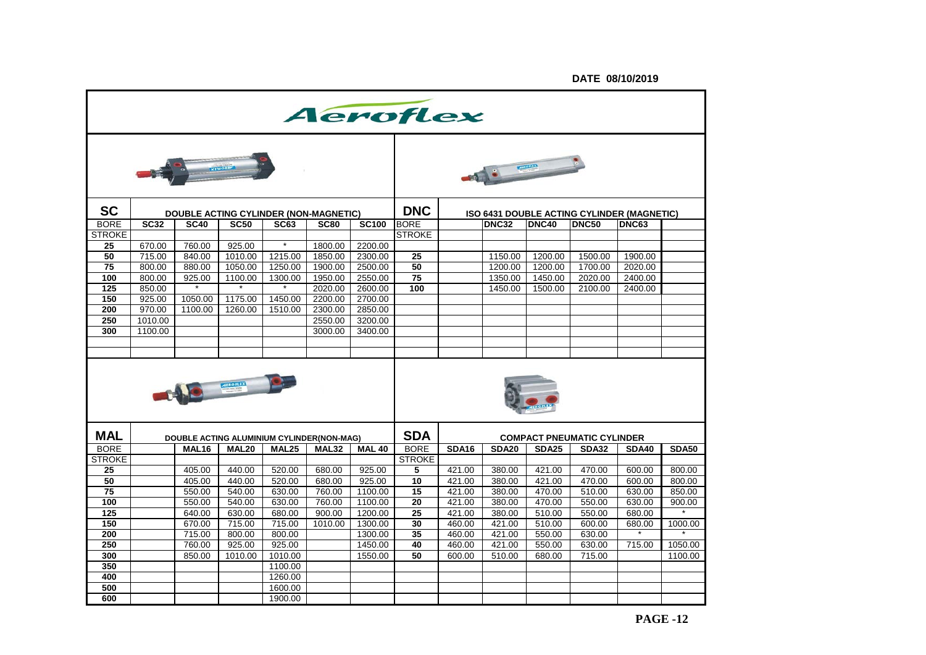|                 | Aeroflex    |             |                                           |                   |             |               |                 |              |              |              |                                            |              |              |
|-----------------|-------------|-------------|-------------------------------------------|-------------------|-------------|---------------|-----------------|--------------|--------------|--------------|--------------------------------------------|--------------|--------------|
|                 |             |             |                                           |                   |             |               |                 |              |              |              |                                            |              |              |
| <b>SC</b>       |             |             | DOUBLE ACTING CYLINDER (NON-MAGNETIC)     |                   |             |               | <b>DNC</b>      |              |              |              | ISO 6431 DOUBLE ACTING CYLINDER (MAGNETIC) |              |              |
| <b>BORE</b>     | <b>SC32</b> | <b>SC40</b> | <b>SC50</b>                               | <b>SC63</b>       | <b>SC80</b> | <b>SC100</b>  | <b>BORE</b>     |              | <b>DNC32</b> | <b>DNC40</b> | <b>DNC50</b>                               | <b>DNC63</b> |              |
| <b>STROKE</b>   |             |             |                                           |                   |             |               | <b>STROKE</b>   |              |              |              |                                            |              |              |
| 25              | 670.00      | 760.00      | 925.00                                    | $\star$           | 1800.00     | 2200.00       |                 |              |              |              |                                            |              |              |
| 50              | 715.00      | 840.00      | 1010.00                                   | 1215.00           | 1850.00     | 2300.00       | 25              |              | 1150.00      | 1200.00      | 1500.00                                    | 1900.00      |              |
| 75              | 800.00      | 880.00      | 1050.00                                   | 1250.00           | 1900.00     | 2500.00       | $\overline{50}$ |              | 1200.00      | 1200.00      | 1700.00                                    | 2020.00      |              |
| 100             | 800.00      | 925.00      | 1100.00                                   | 1300.00           | 1950.00     | 2550.00       | $\overline{75}$ |              | 1350.00      | 1450.00      | 2020.00                                    | 2400.00      |              |
| 125             | 850.00      |             | $\star$                                   |                   | 2020.00     | 2600.00       | 100             |              | 1450.00      | 1500.00      | 2100.00                                    | 2400.00      |              |
| 150             | 925.00      | 1050.00     | 1175.00                                   | 1450.00           | 2200.00     | 2700.00       |                 |              |              |              |                                            |              |              |
| 200             | 970.00      | 1100.00     | 1260.00                                   | 1510.00           | 2300.00     | 2850.00       |                 |              |              |              |                                            |              |              |
| 250             | 1010.00     |             |                                           |                   | 2550.00     | 3200.00       |                 |              |              |              |                                            |              |              |
| 300             | 1100.00     |             |                                           |                   | 3000.00     | 3400.00       |                 |              |              |              |                                            |              |              |
|                 |             |             |                                           |                   |             |               |                 |              |              |              |                                            |              |              |
|                 |             |             |                                           |                   |             |               |                 |              |              |              |                                            |              |              |
|                 |             |             | <b>AIROREX</b>                            |                   |             |               |                 |              |              |              |                                            |              |              |
| <b>MAL</b>      |             |             | DOUBLE ACTING ALUMINIUM CYLINDER(NON-MAG) |                   |             |               | <b>SDA</b>      |              |              |              | <b>COMPACT PNEUMATIC CYLINDER</b>          |              |              |
| <b>BORE</b>     |             | MAL16       | MAL <sub>20</sub>                         | MAL <sub>25</sub> | MAL32       | <b>MAL 40</b> | <b>BORE</b>     | <b>SDA16</b> | <b>SDA20</b> | <b>SDA25</b> | <b>SDA32</b>                               | <b>SDA40</b> | <b>SDA50</b> |
| <b>STROKE</b>   |             |             |                                           |                   |             |               | <b>STROKE</b>   |              |              |              |                                            |              |              |
| 25              |             | 405.00      | 440.00                                    | 520.00            | 680.00      | 925.00        | 5               | 421.00       | 380.00       | 421.00       | 470.00                                     | 600.00       | 800.00       |
| 50              |             | 405.00      | 440.00                                    | 520.00            | 680.00      | 925.00        | 10              | 421.00       | 380.00       | 421.00       | 470.00                                     | 600.00       | 800.00       |
| $\overline{75}$ |             | 550.00      | 540.00                                    | 630.00            | 760.00      | 1100.00       | 15              | 421.00       | 380.00       | 470.00       | 510.00                                     | 630.00       | 850.00       |
| 100             |             | 550.00      | 540.00                                    | 630.00            | 760.00      | 1100.00       | 20              | 421.00       | 380.00       | 470.00       | 550.00                                     | 630.00       | 900.00       |
| 125             |             | 640.00      | 630.00                                    | 680.00            | 900.00      | 1200.00       | 25              | 421.00       | 380.00       | 510.00       | 550.00                                     | 680.00       |              |
| 150             |             | 670.00      | 715.00                                    | 715.00            | 1010.00     | 1300.00       | 30              | 460.00       | 421.00       | 510.00       | 600.00                                     | 680.00       | 1000.00      |
| 200             |             | 715.00      | 800.00                                    | 800.00            |             | 1300.00       | 35              | 460.00       | 421.00       | 550.00       | 630.00                                     |              |              |
| 250             |             | 760.00      | 925.00                                    | 925.00            |             | 1450.00       | 40              | 460.00       | 421.00       | 550.00       | 630.00                                     | 715.00       | 1050.00      |
| 300             |             | 850.00      | 1010.00                                   | 1010.00           |             | 1550.00       | 50              | 600.00       | 510.00       | 680.00       | 715.00                                     |              | 1100.00      |
| 350             |             |             |                                           | 1100.00           |             |               |                 |              |              |              |                                            |              |              |
| 400             |             |             |                                           | 1260.00           |             |               |                 |              |              |              |                                            |              |              |
| 500             |             |             |                                           | 1600.00           |             |               |                 |              |              |              |                                            |              |              |
| 600             |             |             |                                           | 1900.00           |             |               |                 |              |              |              |                                            |              |              |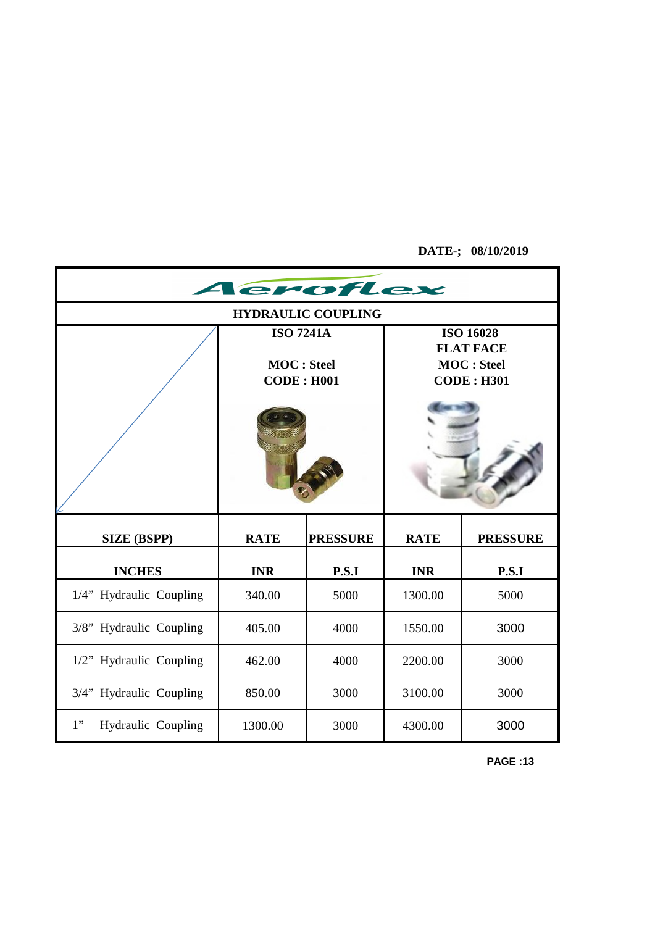**DATE-; 08/10/2019**

| eroflex                   |                    |                 |             |                                         |  |  |
|---------------------------|--------------------|-----------------|-------------|-----------------------------------------|--|--|
| <b>HYDRAULIC COUPLING</b> |                    |                 |             |                                         |  |  |
|                           | <b>ISO 7241A</b>   |                 |             | <b>ISO 16028</b>                        |  |  |
|                           | <b>MOC</b> : Steel |                 |             | <b>FLAT FACE</b>                        |  |  |
|                           | <b>CODE: H001</b>  |                 |             | <b>MOC</b> : Steel<br><b>CODE: H301</b> |  |  |
|                           |                    |                 |             |                                         |  |  |
|                           |                    |                 |             |                                         |  |  |
| <b>SIZE (BSPP)</b>        | <b>RATE</b>        | <b>PRESSURE</b> | <b>RATE</b> | <b>PRESSURE</b>                         |  |  |
| <b>INCHES</b>             | <b>INR</b>         | P.S.I           | <b>INR</b>  | P.S.I                                   |  |  |
| 1/4" Hydraulic Coupling   | 340.00             | 5000            | 1300.00     | 5000                                    |  |  |
| 3/8" Hydraulic Coupling   | 405.00             | 4000            | 1550.00     | 3000                                    |  |  |
| 1/2" Hydraulic Coupling   | 462.00             | 4000            | 2200.00     | 3000                                    |  |  |
| 3/4" Hydraulic Coupling   | 850.00             | 3000            | 3100.00     | 3000                                    |  |  |
| 1"<br>Hydraulic Coupling  | 1300.00            | 3000            | 4300.00     | 3000                                    |  |  |

**PAGE :13**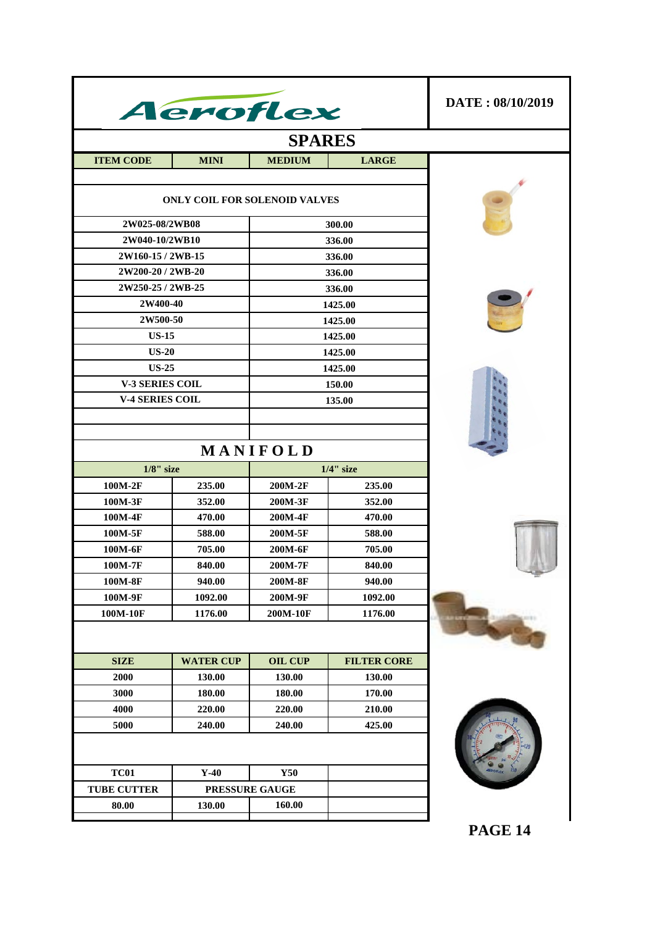| Aeroflex               | DATE: 08/10/2019                     |                    |                    |                |  |  |
|------------------------|--------------------------------------|--------------------|--------------------|----------------|--|--|
|                        |                                      |                    |                    |                |  |  |
| <b>ITEM CODE</b>       | <b>MINI</b>                          | <b>MEDIUM</b>      | <b>LARGE</b>       |                |  |  |
|                        | <b>ONLY COIL FOR SOLENOID VALVES</b> |                    |                    |                |  |  |
| 2W025-08/2WB08         |                                      |                    | 300.00             |                |  |  |
| 2W040-10/2WB10         |                                      |                    | 336.00             |                |  |  |
| 2W160-15 / 2WB-15      |                                      |                    | 336.00             |                |  |  |
| 2W200-20 / 2WB-20      |                                      |                    | 336.00             |                |  |  |
| 2W250-25 / 2WB-25      |                                      |                    | 336.00             |                |  |  |
| 2W400-40               |                                      |                    | 1425.00            |                |  |  |
| 2W500-50<br>$US-15$    |                                      |                    | 1425.00            |                |  |  |
| <b>US-20</b>           |                                      |                    | 1425.00<br>1425.00 |                |  |  |
| <b>US-25</b>           |                                      |                    | 1425.00            |                |  |  |
| <b>V-3 SERIES COIL</b> |                                      |                    | 150.00             |                |  |  |
| <b>V-4 SERIES COIL</b> |                                      |                    | 135.00             |                |  |  |
|                        |                                      |                    |                    |                |  |  |
|                        |                                      |                    |                    |                |  |  |
|                        |                                      | MANIFOLD           |                    |                |  |  |
| $1/8$ " size           |                                      |                    | $1/4$ " size       |                |  |  |
| 100M-2F                | 235.00                               | 200M-2F            | 235.00             |                |  |  |
| 100M-3F                | 352.00                               | 200M-3F            | 352.00             |                |  |  |
| 100M-4F                | 470.00                               | 200M-4F            | 470.00             |                |  |  |
| 100M-5F                | 588.00                               | 200M-5F            | 588.00             |                |  |  |
| 100M-6F                | 705.00                               | 200M-6F            | 705.00             |                |  |  |
| 100M-7F                | 840.00                               | 200M-7F            | 840.00             |                |  |  |
| 100M-8F<br>100M-9F     | 940.00<br>1092.00                    | 200M-8F<br>200M-9F | 940.00<br>1092.00  |                |  |  |
| 100M-10F               | 1176.00                              | 200M-10F           | 1176.00            |                |  |  |
|                        |                                      |                    |                    |                |  |  |
| <b>SIZE</b>            | <b>WATER CUP</b>                     | <b>OIL CUP</b>     | <b>FILTER CORE</b> |                |  |  |
| 2000                   | 130.00                               | 130.00             | 130.00             |                |  |  |
| 3000                   | 180.00                               | 180.00             | 170.00             |                |  |  |
| 4000                   | 220.00                               | 220.00             | 210.00             |                |  |  |
| 5000                   | 240.00                               | 240.00             | 425.00             |                |  |  |
| <b>TC01</b>            | $Y-40$                               | <b>Y50</b>         |                    |                |  |  |
| <b>TUBE CUTTER</b>     |                                      | PRESSURE GAUGE     |                    |                |  |  |
| 80.00                  | 130.00                               | 160.00             |                    |                |  |  |
|                        |                                      |                    |                    | <b>PAGE 14</b> |  |  |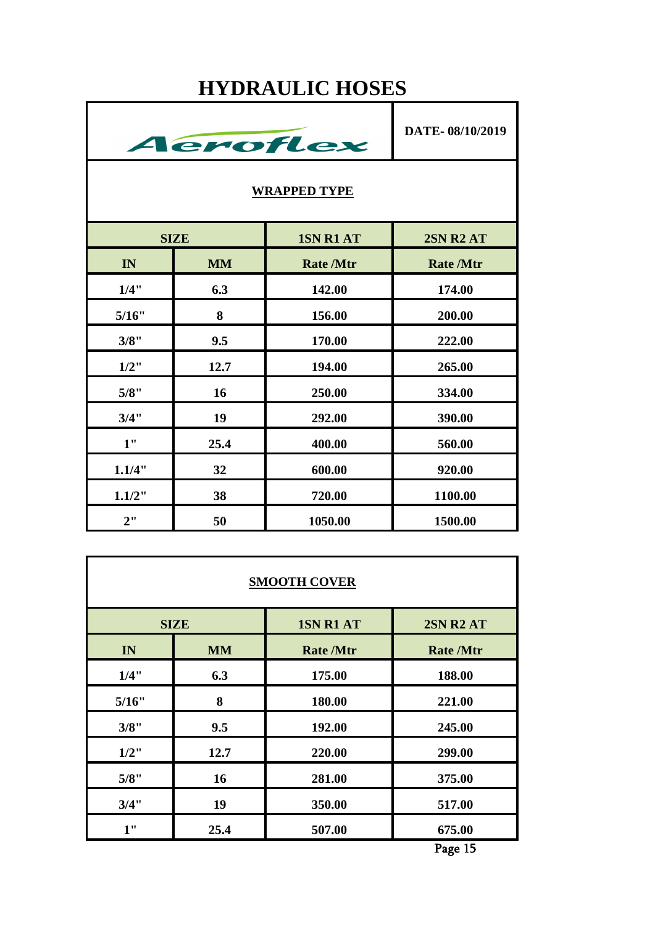## **HYDRAULIC HOSES**



| <b>SMOOTH COVER</b> |                                                     |                  |                  |  |  |  |
|---------------------|-----------------------------------------------------|------------------|------------------|--|--|--|
|                     | <b>1SN R1 AT</b><br><b>2SN R2 AT</b><br><b>SIZE</b> |                  |                  |  |  |  |
| IN                  | <b>MM</b>                                           | <b>Rate /Mtr</b> | <b>Rate /Mtr</b> |  |  |  |
| 1/4"                | 6.3                                                 | 175.00           | 188.00           |  |  |  |
| 5/16"               | 8                                                   | 180.00           | 221.00           |  |  |  |
| 3/8"                | 9.5                                                 | 192.00           | 245.00           |  |  |  |
| $1/2$ "             | 12.7                                                | 220.00           | 299.00           |  |  |  |
| 5/8"                | 16                                                  | 281.00           | 375.00           |  |  |  |
| 3/4"                | 19                                                  | 350.00           | 517.00           |  |  |  |
| 1"                  | 25.4                                                | 507.00           | 675.00           |  |  |  |

Page 15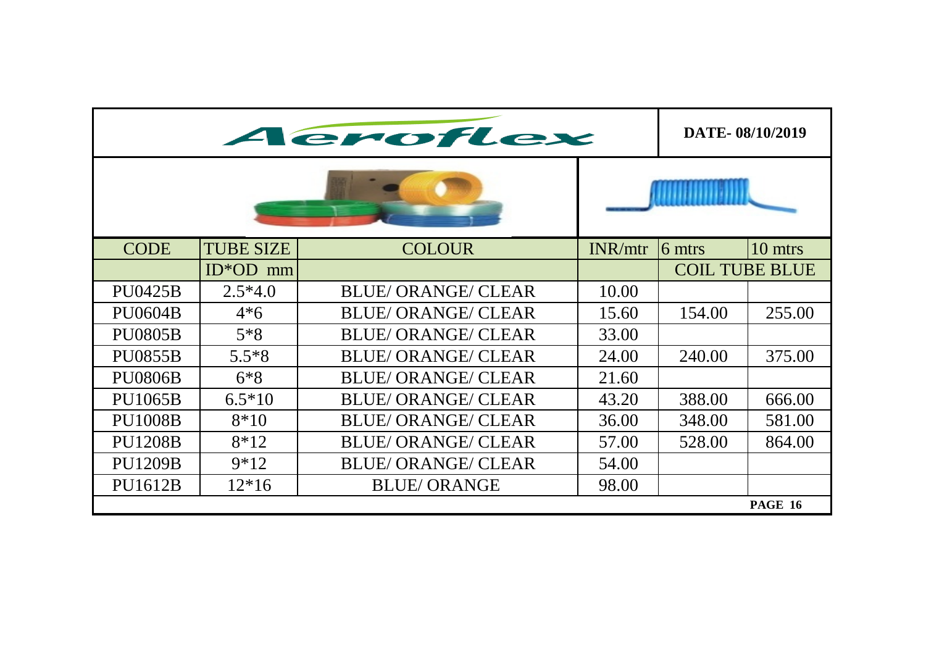|                | DATE-08/10/2019  |                            |         |                       |                |
|----------------|------------------|----------------------------|---------|-----------------------|----------------|
|                |                  |                            |         |                       |                |
| <b>CODE</b>    | <b>TUBE SIZE</b> | <b>COLOUR</b>              | INR/mtr | 6 mtrs                | 10 mtrs        |
|                | $ID*OD$ mm       |                            |         | <b>COIL TUBE BLUE</b> |                |
| <b>PU0425B</b> | $2.5*4.0$        | <b>BLUE/ ORANGE/ CLEAR</b> | 10.00   |                       |                |
| <b>PU0604B</b> | $4*6$            | <b>BLUE/ ORANGE/ CLEAR</b> | 15.60   | 154.00                | 255.00         |
| <b>PU0805B</b> | $5*8$            | <b>BLUE/ORANGE/CLEAR</b>   | 33.00   |                       |                |
| <b>PU0855B</b> | $5.5*8$          | <b>BLUE/ ORANGE/ CLEAR</b> | 24.00   | 240.00                | 375.00         |
| <b>PU0806B</b> | $6*8$            | <b>BLUE/ORANGE/CLEAR</b>   | 21.60   |                       |                |
| <b>PU1065B</b> | $6.5*10$         | <b>BLUE/ORANGE/CLEAR</b>   | 43.20   | 388.00                | 666.00         |
| <b>PU1008B</b> | $8*10$           | <b>BLUE/ ORANGE/ CLEAR</b> | 36.00   | 348.00                | 581.00         |
| <b>PU1208B</b> | $8*12$           | <b>BLUE/ ORANGE/ CLEAR</b> | 57.00   | 528.00                | 864.00         |
| <b>PU1209B</b> | $9*12$           | <b>BLUE/ORANGE/CLEAR</b>   | 54.00   |                       |                |
| PU1612B        | $12*16$          | <b>BLUE/ORANGE</b>         | 98.00   |                       |                |
|                |                  |                            |         |                       | <b>PAGE 16</b> |